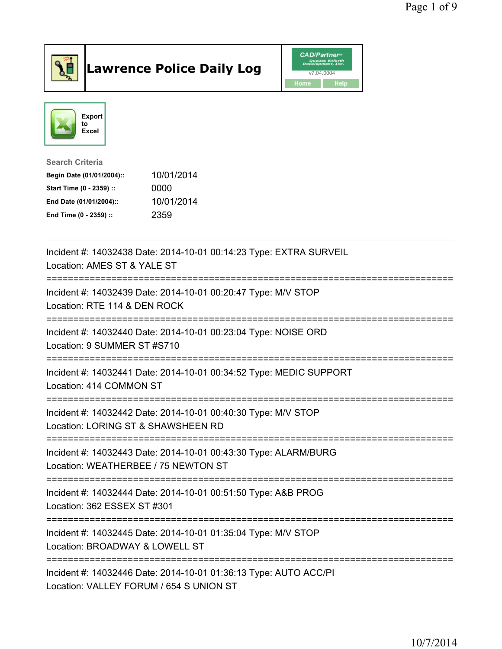

## Lawrence Police Daily Log **Daniel CAD/Partner**





Search Criteria Begin Date (01/01/2004):: 10/01/2014 Start Time (0 - 2359) :: 0000 End Date (01/01/2004):: 10/01/2014 End Time (0 - 2359) :: 2359

| Incident #: 14032438 Date: 2014-10-01 00:14:23 Type: EXTRA SURVEIL<br>Location: AMES ST & YALE ST           |
|-------------------------------------------------------------------------------------------------------------|
| Incident #: 14032439 Date: 2014-10-01 00:20:47 Type: M/V STOP<br>Location: RTE 114 & DEN ROCK               |
| Incident #: 14032440 Date: 2014-10-01 00:23:04 Type: NOISE ORD<br>Location: 9 SUMMER ST #S710               |
| Incident #: 14032441 Date: 2014-10-01 00:34:52 Type: MEDIC SUPPORT<br>Location: 414 COMMON ST               |
| Incident #: 14032442 Date: 2014-10-01 00:40:30 Type: M/V STOP<br>Location: LORING ST & SHAWSHEEN RD         |
| Incident #: 14032443 Date: 2014-10-01 00:43:30 Type: ALARM/BURG<br>Location: WEATHERBEE / 75 NEWTON ST      |
| Incident #: 14032444 Date: 2014-10-01 00:51:50 Type: A&B PROG<br>Location: 362 ESSEX ST #301                |
| Incident #: 14032445 Date: 2014-10-01 01:35:04 Type: M/V STOP<br>Location: BROADWAY & LOWELL ST             |
| Incident #: 14032446 Date: 2014-10-01 01:36:13 Type: AUTO ACC/PI<br>Location: VALLEY FORUM / 654 S UNION ST |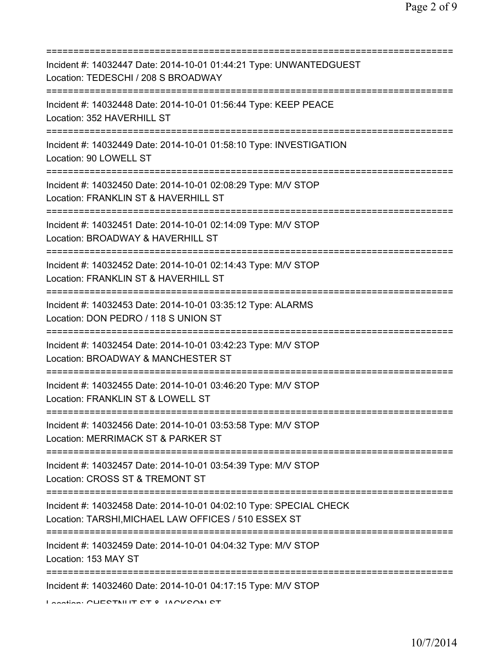| Incident #: 14032447 Date: 2014-10-01 01:44:21 Type: UNWANTEDGUEST<br>Location: TEDESCHI / 208 S BROADWAY                               |
|-----------------------------------------------------------------------------------------------------------------------------------------|
| Incident #: 14032448 Date: 2014-10-01 01:56:44 Type: KEEP PEACE<br>Location: 352 HAVERHILL ST                                           |
| Incident #: 14032449 Date: 2014-10-01 01:58:10 Type: INVESTIGATION<br>Location: 90 LOWELL ST                                            |
| Incident #: 14032450 Date: 2014-10-01 02:08:29 Type: M/V STOP<br>Location: FRANKLIN ST & HAVERHILL ST                                   |
| ;================================<br>Incident #: 14032451 Date: 2014-10-01 02:14:09 Type: M/V STOP<br>Location: BROADWAY & HAVERHILL ST |
| ===========================<br>Incident #: 14032452 Date: 2014-10-01 02:14:43 Type: M/V STOP<br>Location: FRANKLIN ST & HAVERHILL ST    |
| Incident #: 14032453 Date: 2014-10-01 03:35:12 Type: ALARMS<br>Location: DON PEDRO / 118 S UNION ST                                     |
| Incident #: 14032454 Date: 2014-10-01 03:42:23 Type: M/V STOP<br>Location: BROADWAY & MANCHESTER ST                                     |
| Incident #: 14032455 Date: 2014-10-01 03:46:20 Type: M/V STOP<br>Location: FRANKLIN ST & LOWELL ST                                      |
| Incident #: 14032456 Date: 2014-10-01 03:53:58 Type: M/V STOP<br>Location: MERRIMACK ST & PARKER ST                                     |
| Incident #: 14032457 Date: 2014-10-01 03:54:39 Type: M/V STOP<br>Location: CROSS ST & TREMONT ST                                        |
| Incident #: 14032458 Date: 2014-10-01 04:02:10 Type: SPECIAL CHECK<br>Location: TARSHI, MICHAEL LAW OFFICES / 510 ESSEX ST              |
| Incident #: 14032459 Date: 2014-10-01 04:04:32 Type: M/V STOP<br>Location: 153 MAY ST                                                   |
| Incident #: 14032460 Date: 2014-10-01 04:17:15 Type: M/V STOP<br>Lootion: CUECTNILIT CT 0 IACI/CONI CT                                  |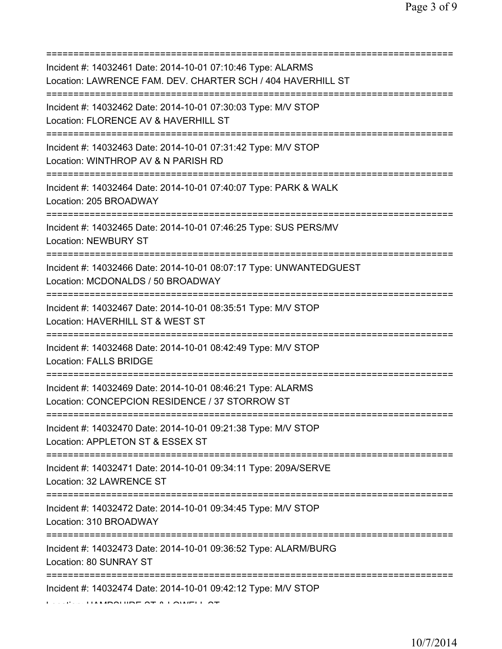| Incident #: 14032461 Date: 2014-10-01 07:10:46 Type: ALARMS<br>Location: LAWRENCE FAM. DEV. CHARTER SCH / 404 HAVERHILL ST              |
|-----------------------------------------------------------------------------------------------------------------------------------------|
| Incident #: 14032462 Date: 2014-10-01 07:30:03 Type: M/V STOP<br>Location: FLORENCE AV & HAVERHILL ST<br>============================== |
| Incident #: 14032463 Date: 2014-10-01 07:31:42 Type: M/V STOP<br>Location: WINTHROP AV & N PARISH RD                                    |
| Incident #: 14032464 Date: 2014-10-01 07:40:07 Type: PARK & WALK<br>Location: 205 BROADWAY                                              |
| Incident #: 14032465 Date: 2014-10-01 07:46:25 Type: SUS PERS/MV<br><b>Location: NEWBURY ST</b>                                         |
| Incident #: 14032466 Date: 2014-10-01 08:07:17 Type: UNWANTEDGUEST<br>Location: MCDONALDS / 50 BROADWAY                                 |
| Incident #: 14032467 Date: 2014-10-01 08:35:51 Type: M/V STOP<br>Location: HAVERHILL ST & WEST ST                                       |
| Incident #: 14032468 Date: 2014-10-01 08:42:49 Type: M/V STOP<br><b>Location: FALLS BRIDGE</b>                                          |
| Incident #: 14032469 Date: 2014-10-01 08:46:21 Type: ALARMS<br>Location: CONCEPCION RESIDENCE / 37 STORROW ST                           |
| Incident #: 14032470 Date: 2014-10-01 09:21:38 Type: M/V STOP<br>Location: APPLETON ST & ESSEX ST                                       |
| Incident #: 14032471 Date: 2014-10-01 09:34:11 Type: 209A/SERVE<br>Location: 32 LAWRENCE ST                                             |
| Incident #: 14032472 Date: 2014-10-01 09:34:45 Type: M/V STOP<br>Location: 310 BROADWAY                                                 |
| Incident #: 14032473 Date: 2014-10-01 09:36:52 Type: ALARM/BURG<br>Location: 80 SUNRAY ST                                               |
| Incident #: 14032474 Date: 2014-10-01 09:42:12 Type: M/V STOP                                                                           |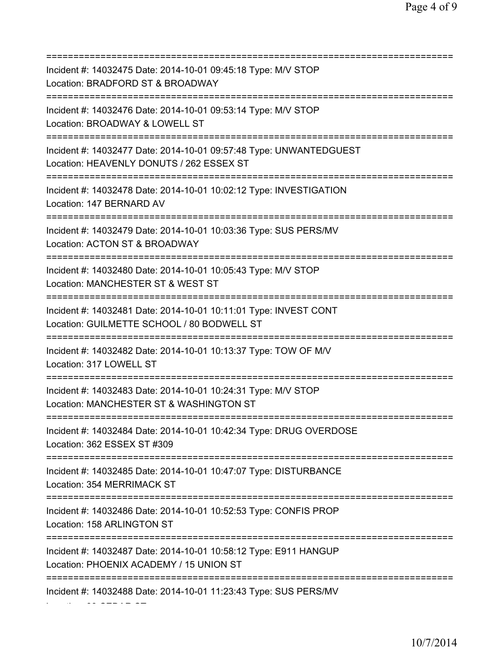| Incident #: 14032475 Date: 2014-10-01 09:45:18 Type: M/V STOP<br>Location: BRADFORD ST & BROADWAY<br>================================    |
|------------------------------------------------------------------------------------------------------------------------------------------|
| Incident #: 14032476 Date: 2014-10-01 09:53:14 Type: M/V STOP<br>Location: BROADWAY & LOWELL ST                                          |
| Incident #: 14032477 Date: 2014-10-01 09:57:48 Type: UNWANTEDGUEST<br>Location: HEAVENLY DONUTS / 262 ESSEX ST                           |
| Incident #: 14032478 Date: 2014-10-01 10:02:12 Type: INVESTIGATION<br>Location: 147 BERNARD AV<br>====================================== |
| Incident #: 14032479 Date: 2014-10-01 10:03:36 Type: SUS PERS/MV<br>Location: ACTON ST & BROADWAY                                        |
| Incident #: 14032480 Date: 2014-10-01 10:05:43 Type: M/V STOP<br>Location: MANCHESTER ST & WEST ST                                       |
| Incident #: 14032481 Date: 2014-10-01 10:11:01 Type: INVEST CONT<br>Location: GUILMETTE SCHOOL / 80 BODWELL ST                           |
| Incident #: 14032482 Date: 2014-10-01 10:13:37 Type: TOW OF M/V<br>Location: 317 LOWELL ST                                               |
| Incident #: 14032483 Date: 2014-10-01 10:24:31 Type: M/V STOP<br>Location: MANCHESTER ST & WASHINGTON ST                                 |
| Incident #: 14032484 Date: 2014-10-01 10:42:34 Type: DRUG OVERDOSE<br>Location: 362 ESSEX ST #309                                        |
| Incident #: 14032485 Date: 2014-10-01 10:47:07 Type: DISTURBANCE<br>Location: 354 MERRIMACK ST<br>=====================================  |
| Incident #: 14032486 Date: 2014-10-01 10:52:53 Type: CONFIS PROP<br>Location: 158 ARLINGTON ST                                           |
| Incident #: 14032487 Date: 2014-10-01 10:58:12 Type: E911 HANGUP<br>Location: PHOENIX ACADEMY / 15 UNION ST                              |
| Incident #: 14032488 Date: 2014-10-01 11:23:43 Type: SUS PERS/MV                                                                         |

Location: 33 CEDAR ST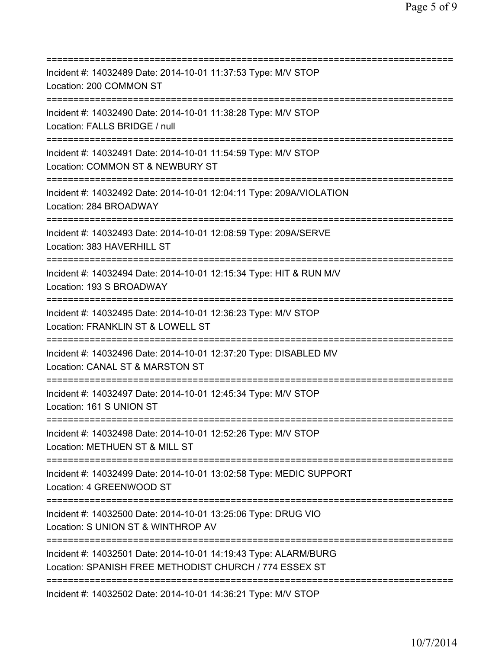| Incident #: 14032489 Date: 2014-10-01 11:37:53 Type: M/V STOP<br>Location: 200 COMMON ST                                         |
|----------------------------------------------------------------------------------------------------------------------------------|
| Incident #: 14032490 Date: 2014-10-01 11:38:28 Type: M/V STOP<br>Location: FALLS BRIDGE / null                                   |
| Incident #: 14032491 Date: 2014-10-01 11:54:59 Type: M/V STOP<br>Location: COMMON ST & NEWBURY ST<br>=========================== |
| Incident #: 14032492 Date: 2014-10-01 12:04:11 Type: 209A/VIOLATION<br>Location: 284 BROADWAY                                    |
| Incident #: 14032493 Date: 2014-10-01 12:08:59 Type: 209A/SERVE<br>Location: 383 HAVERHILL ST<br>==============================  |
| Incident #: 14032494 Date: 2014-10-01 12:15:34 Type: HIT & RUN M/V<br>Location: 193 S BROADWAY                                   |
| Incident #: 14032495 Date: 2014-10-01 12:36:23 Type: M/V STOP<br>Location: FRANKLIN ST & LOWELL ST                               |
| Incident #: 14032496 Date: 2014-10-01 12:37:20 Type: DISABLED MV<br>Location: CANAL ST & MARSTON ST<br>===============           |
| Incident #: 14032497 Date: 2014-10-01 12:45:34 Type: M/V STOP<br>Location: 161 S UNION ST                                        |
| Incident #: 14032498 Date: 2014-10-01 12:52:26 Type: M/V STOP<br>Location: METHUEN ST & MILL ST                                  |
| Incident #: 14032499 Date: 2014-10-01 13:02:58 Type: MEDIC SUPPORT<br>Location: 4 GREENWOOD ST                                   |
| Incident #: 14032500 Date: 2014-10-01 13:25:06 Type: DRUG VIO<br>Location: S UNION ST & WINTHROP AV                              |
| Incident #: 14032501 Date: 2014-10-01 14:19:43 Type: ALARM/BURG<br>Location: SPANISH FREE METHODIST CHURCH / 774 ESSEX ST        |
| Incident #: 14032502 Date: 2014-10-01 14:36:21 Type: M/V STOP                                                                    |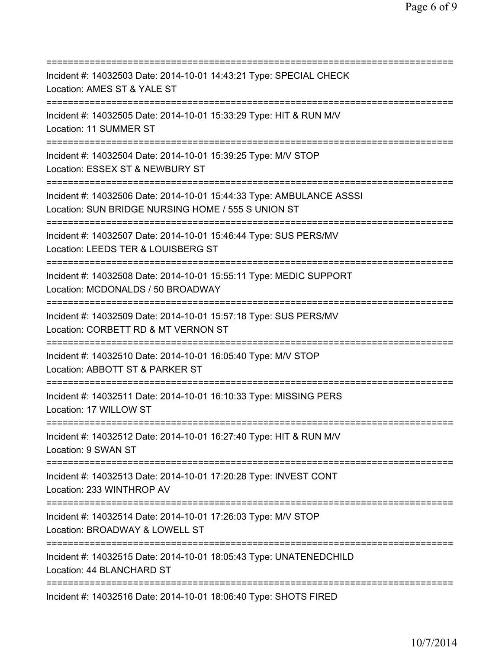=========================================================================== Incident #: 14032503 Date: 2014-10-01 14:43:21 Type: SPECIAL CHECK Location: AMES ST & YALE ST =========================================================================== Incident #: 14032505 Date: 2014-10-01 15:33:29 Type: HIT & RUN M/V Location: 11 SUMMER ST =========================================================================== Incident #: 14032504 Date: 2014-10-01 15:39:25 Type: M/V STOP Location: ESSEX ST & NEWBURY ST =========================================================================== Incident #: 14032506 Date: 2014-10-01 15:44:33 Type: AMBULANCE ASSSI Location: SUN BRIDGE NURSING HOME / 555 S UNION ST =========================================================================== Incident #: 14032507 Date: 2014-10-01 15:46:44 Type: SUS PERS/MV Location: LEEDS TER & LOUISBERG ST =========================================================================== Incident #: 14032508 Date: 2014-10-01 15:55:11 Type: MEDIC SUPPORT Location: MCDONALDS / 50 BROADWAY =========================================================================== Incident #: 14032509 Date: 2014-10-01 15:57:18 Type: SUS PERS/MV Location: CORBETT RD & MT VERNON ST =========================================================================== Incident #: 14032510 Date: 2014-10-01 16:05:40 Type: M/V STOP Location: ABBOTT ST & PARKER ST =========================================================================== Incident #: 14032511 Date: 2014-10-01 16:10:33 Type: MISSING PERS Location: 17 WILLOW ST =========================================================================== Incident #: 14032512 Date: 2014-10-01 16:27:40 Type: HIT & RUN M/V Location: 9 SWAN ST =========================================================================== Incident #: 14032513 Date: 2014-10-01 17:20:28 Type: INVEST CONT Location: 233 WINTHROP AV =========================================================================== Incident #: 14032514 Date: 2014-10-01 17:26:03 Type: M/V STOP Location: BROADWAY & LOWELL ST =========================================================================== Incident #: 14032515 Date: 2014-10-01 18:05:43 Type: UNATENEDCHILD Location: 44 BLANCHARD ST =========================================================================== Incident #: 14032516 Date: 2014-10-01 18:06:40 Type: SHOTS FIRED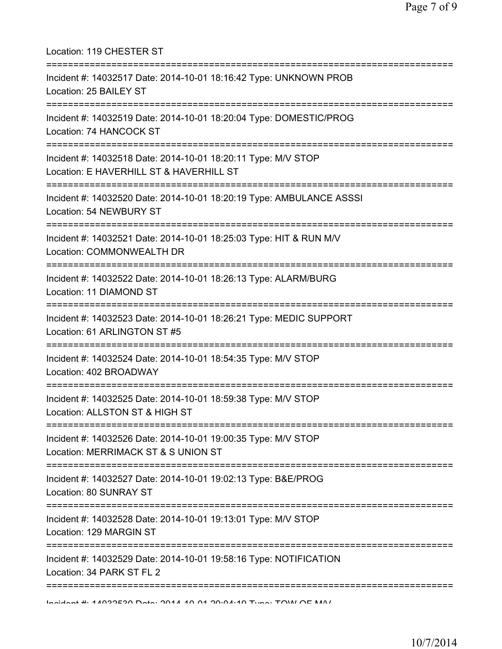| Location: 119 CHESTER ST                                                                                                               |
|----------------------------------------------------------------------------------------------------------------------------------------|
| Incident #: 14032517 Date: 2014-10-01 18:16:42 Type: UNKNOWN PROB<br>Location: 25 BAILEY ST<br>=================                       |
| Incident #: 14032519 Date: 2014-10-01 18:20:04 Type: DOMESTIC/PROG<br>Location: 74 HANCOCK ST                                          |
| Incident #: 14032518 Date: 2014-10-01 18:20:11 Type: M/V STOP<br>Location: E HAVERHILL ST & HAVERHILL ST                               |
| Incident #: 14032520 Date: 2014-10-01 18:20:19 Type: AMBULANCE ASSSI<br>Location: 54 NEWBURY ST<br>.--------------------------------   |
| Incident #: 14032521 Date: 2014-10-01 18:25:03 Type: HIT & RUN M/V<br>Location: COMMONWEALTH DR                                        |
| Incident #: 14032522 Date: 2014-10-01 18:26:13 Type: ALARM/BURG<br>Location: 11 DIAMOND ST                                             |
| ================================<br>Incident #: 14032523 Date: 2014-10-01 18:26:21 Type: MEDIC SUPPORT<br>Location: 61 ARLINGTON ST #5 |
| Incident #: 14032524 Date: 2014-10-01 18:54:35 Type: M/V STOP<br>Location: 402 BROADWAY                                                |
| Incident #: 14032525 Date: 2014-10-01 18:59:38 Type: M/V STOP<br>Location: ALLSTON ST & HIGH ST                                        |
| Incident #: 14032526 Date: 2014-10-01 19:00:35 Type: M/V STOP<br>Location: MERRIMACK ST & S UNION ST                                   |
| Incident #: 14032527 Date: 2014-10-01 19:02:13 Type: B&E/PROG<br>Location: 80 SUNRAY ST                                                |
| Incident #: 14032528 Date: 2014-10-01 19:13:01 Type: M/V STOP<br>Location: 129 MARGIN ST                                               |
| Incident #: 14032529 Date: 2014-10-01 19:58:16 Type: NOTIFICATION<br>Location: 34 PARK ST FL 2                                         |
| $1$ naident # $\cdot$ 4 1000E90 Dete $\cdot$ 904 140 04 90 $\cdot$ 04 $\cdot$ 40 T $\cdot$ me $\cdot$ TOMI OE MAI                      |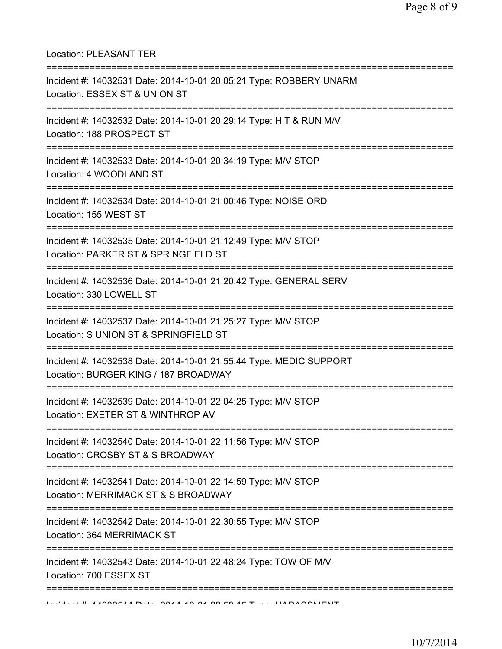Location: PLEASANT TER

| Incident #: 14032531 Date: 2014-10-01 20:05:21 Type: ROBBERY UNARM<br>Location: ESSEX ST & UNION ST<br>;========================    |
|-------------------------------------------------------------------------------------------------------------------------------------|
| Incident #: 14032532 Date: 2014-10-01 20:29:14 Type: HIT & RUN M/V<br>Location: 188 PROSPECT ST<br>--------------------             |
| Incident #: 14032533 Date: 2014-10-01 20:34:19 Type: M/V STOP<br>Location: 4 WOODLAND ST                                            |
| Incident #: 14032534 Date: 2014-10-01 21:00:46 Type: NOISE ORD<br>Location: 155 WEST ST<br>===============================          |
| Incident #: 14032535 Date: 2014-10-01 21:12:49 Type: M/V STOP<br>Location: PARKER ST & SPRINGFIELD ST<br>:=======================   |
| Incident #: 14032536 Date: 2014-10-01 21:20:42 Type: GENERAL SERV<br>Location: 330 LOWELL ST                                        |
| Incident #: 14032537 Date: 2014-10-01 21:25:27 Type: M/V STOP<br>Location: S UNION ST & SPRINGFIELD ST                              |
| Incident #: 14032538 Date: 2014-10-01 21:55:44 Type: MEDIC SUPPORT<br>Location: BURGER KING / 187 BROADWAY                          |
| Incident #: 14032539 Date: 2014-10-01 22:04:25 Type: M/V STOP<br>Location: EXETER ST & WINTHROP AV                                  |
| Incident #: 14032540 Date: 2014-10-01 22:11:56 Type: M/V STOP<br>Location: CROSBY ST & S BROADWAY<br>:============================= |
| Incident #: 14032541 Date: 2014-10-01 22:14:59 Type: M/V STOP<br>Location: MERRIMACK ST & S BROADWAY                                |
| Incident #: 14032542 Date: 2014-10-01 22:30:55 Type: M/V STOP<br>Location: 364 MERRIMACK ST                                         |
| Incident #: 14032543 Date: 2014-10-01 22:48:24 Type: TOW OF M/V<br>Location: 700 ESSEX ST                                           |
|                                                                                                                                     |